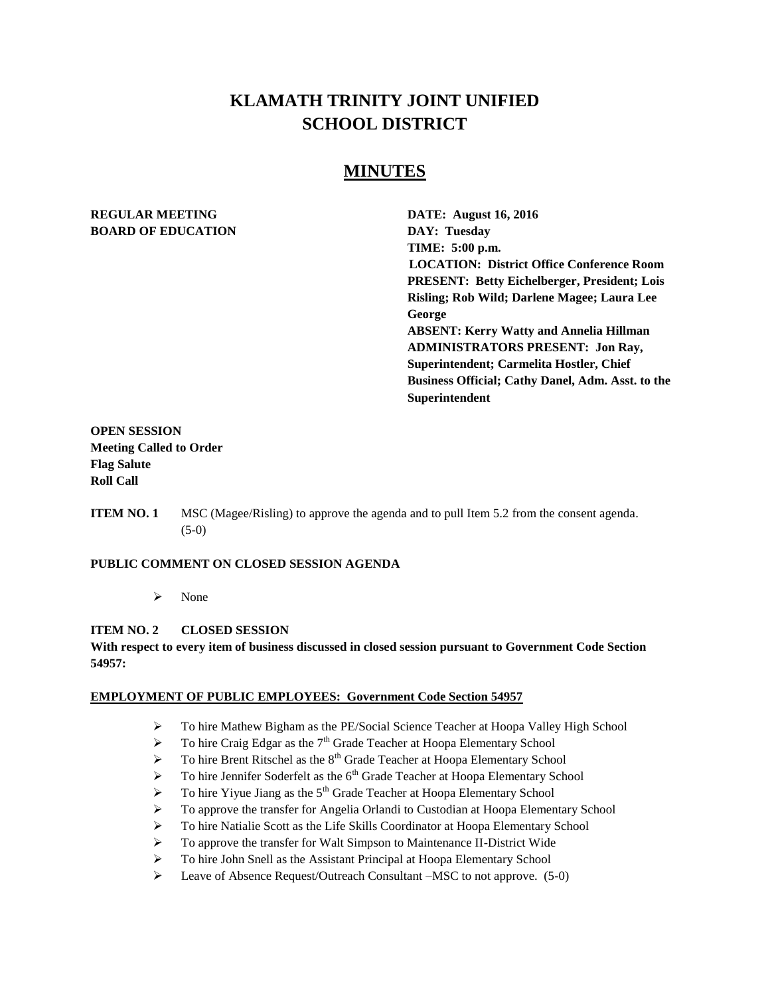# **KLAMATH TRINITY JOINT UNIFIED SCHOOL DISTRICT**

# **MINUTES**

### **REGULAR MEETING DATE: August 16, 2016 BOARD OF EDUCATION DAY: Tuesday**

**TIME: 5:00 p.m. LOCATION: District Office Conference Room PRESENT: Betty Eichelberger, President; Lois Risling; Rob Wild; Darlene Magee; Laura Lee George ABSENT: Kerry Watty and Annelia Hillman ADMINISTRATORS PRESENT: Jon Ray, Superintendent; Carmelita Hostler, Chief Business Official; Cathy Danel, Adm. Asst. to the Superintendent**

**OPEN SESSION Meeting Called to Order Flag Salute Roll Call**

**ITEM NO. 1** MSC (Magee/Risling) to approve the agenda and to pull Item 5.2 from the consent agenda. (5-0)

### **PUBLIC COMMENT ON CLOSED SESSION AGENDA**

 $\triangleright$  None

#### **ITEM NO. 2 CLOSED SESSION**

**With respect to every item of business discussed in closed session pursuant to Government Code Section 54957:**

#### **EMPLOYMENT OF PUBLIC EMPLOYEES: Government Code Section 54957**

- To hire Mathew Bigham as the PE/Social Science Teacher at Hoopa Valley High School
- $\triangleright$  To hire Craig Edgar as the 7<sup>th</sup> Grade Teacher at Hoopa Elementary School
- $\triangleright$  To hire Brent Ritschel as the  $8<sup>th</sup>$  Grade Teacher at Hoopa Elementary School
- $\triangleright$  To hire Jennifer Soderfelt as the 6<sup>th</sup> Grade Teacher at Hoopa Elementary School
- $\triangleright$  To hire Yiyue Jiang as the 5<sup>th</sup> Grade Teacher at Hoopa Elementary School
- To approve the transfer for Angelia Orlandi to Custodian at Hoopa Elementary School
- To hire Natialie Scott as the Life Skills Coordinator at Hoopa Elementary School
- To approve the transfer for Walt Simpson to Maintenance II-District Wide
- To hire John Snell as the Assistant Principal at Hoopa Elementary School
- Leave of Absence Request/Outreach Consultant –MSC to not approve. (5-0)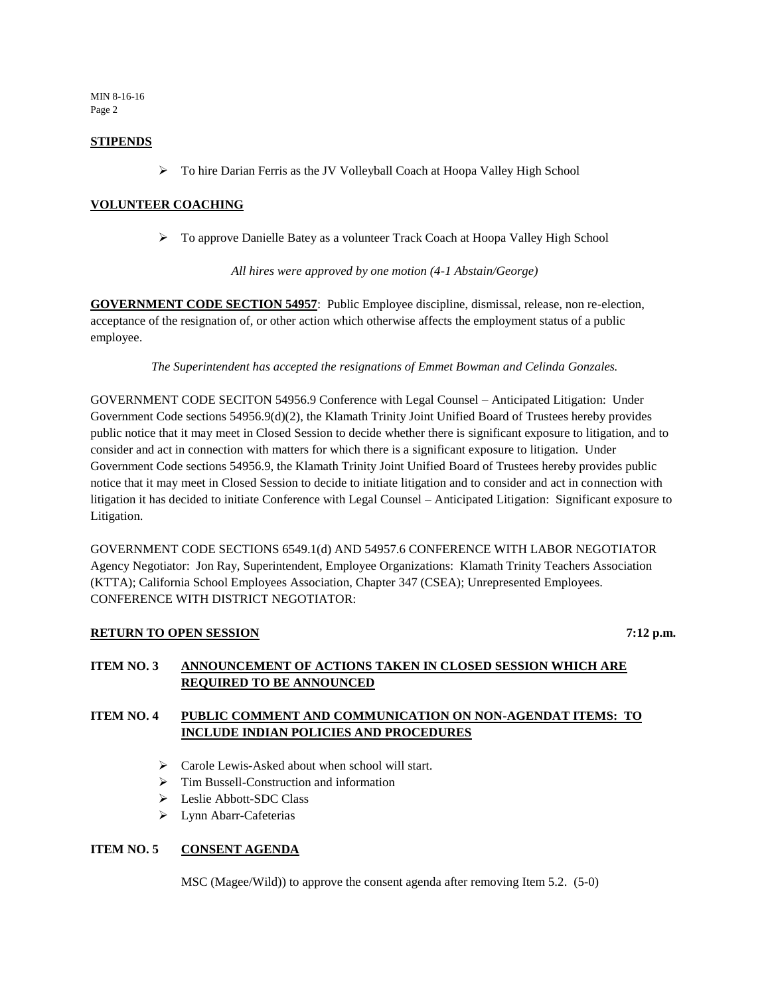MIN 8-16-16 Page 2

#### **STIPENDS**

To hire Darian Ferris as the JV Volleyball Coach at Hoopa Valley High School

### **VOLUNTEER COACHING**

To approve Danielle Batey as a volunteer Track Coach at Hoopa Valley High School

*All hires were approved by one motion (4-1 Abstain/George)* 

**GOVERNMENT CODE SECTION 54957**: Public Employee discipline, dismissal, release, non re-election, acceptance of the resignation of, or other action which otherwise affects the employment status of a public employee.

*The Superintendent has accepted the resignations of Emmet Bowman and Celinda Gonzales.* 

GOVERNMENT CODE SECITON 54956.9 Conference with Legal Counsel – Anticipated Litigation: Under Government Code sections 54956.9(d)(2), the Klamath Trinity Joint Unified Board of Trustees hereby provides public notice that it may meet in Closed Session to decide whether there is significant exposure to litigation, and to consider and act in connection with matters for which there is a significant exposure to litigation. Under Government Code sections 54956.9, the Klamath Trinity Joint Unified Board of Trustees hereby provides public notice that it may meet in Closed Session to decide to initiate litigation and to consider and act in connection with litigation it has decided to initiate Conference with Legal Counsel – Anticipated Litigation: Significant exposure to Litigation.

GOVERNMENT CODE SECTIONS 6549.1(d) AND 54957.6 CONFERENCE WITH LABOR NEGOTIATOR Agency Negotiator: Jon Ray, Superintendent, Employee Organizations: Klamath Trinity Teachers Association (KTTA); California School Employees Association, Chapter 347 (CSEA); Unrepresented Employees. CONFERENCE WITH DISTRICT NEGOTIATOR:

### **RETURN TO OPEN SESSION** 7:12 p.m.

### **ITEM NO. 3 ANNOUNCEMENT OF ACTIONS TAKEN IN CLOSED SESSION WHICH ARE REQUIRED TO BE ANNOUNCED**

### **ITEM NO. 4 PUBLIC COMMENT AND COMMUNICATION ON NON-AGENDAT ITEMS: TO INCLUDE INDIAN POLICIES AND PROCEDURES**

- $\triangleright$  Carole Lewis-Asked about when school will start.
- $\triangleright$  Tim Bussell-Construction and information
- Leslie Abbott-SDC Class
- > Lynn Abarr-Cafeterias

### **ITEM NO. 5 CONSENT AGENDA**

MSC (Magee/Wild)) to approve the consent agenda after removing Item 5.2. (5-0)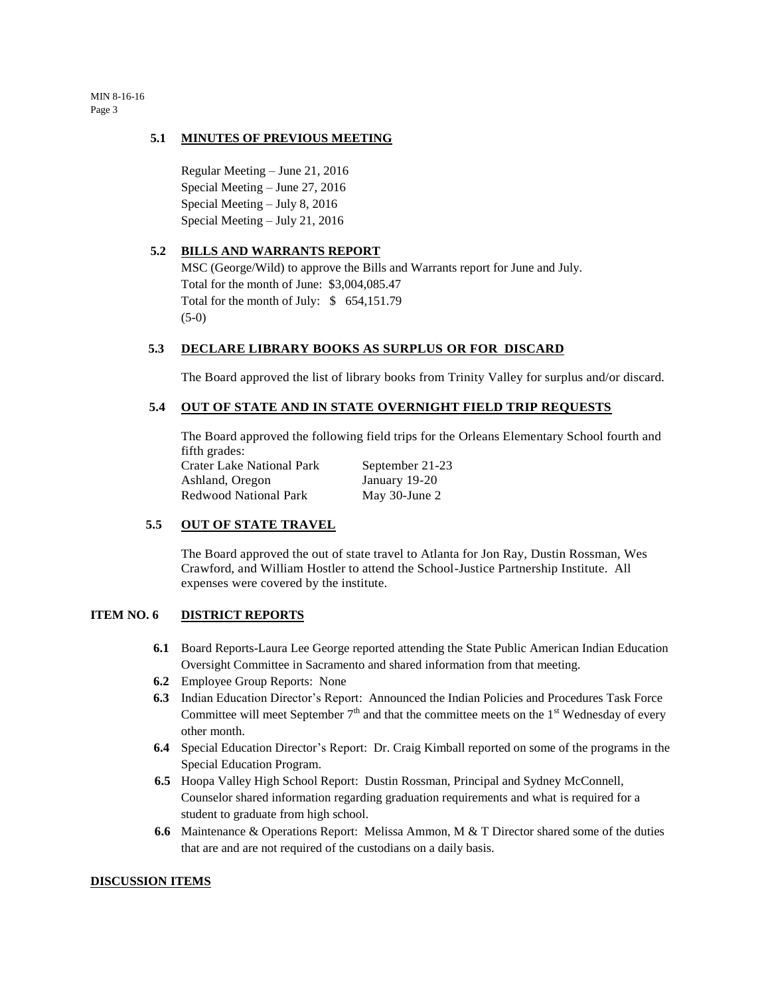MIN 8-16-16 Page 3

#### **5.1 MINUTES OF PREVIOUS MEETING**

Regular Meeting – June 21, 2016 Special Meeting – June 27, 2016 Special Meeting – July 8, 2016 Special Meeting – July 21, 2016

#### **5.2 BILLS AND WARRANTS REPORT**

MSC (George/Wild) to approve the Bills and Warrants report for June and July. Total for the month of June: \$3,004,085.47 Total for the month of July: \$ 654,151.79 (5-0)

#### **5.3 DECLARE LIBRARY BOOKS AS SURPLUS OR FOR DISCARD**

The Board approved the list of library books from Trinity Valley for surplus and/or discard.

#### **5.4 OUT OF STATE AND IN STATE OVERNIGHT FIELD TRIP REQUESTS**

The Board approved the following field trips for the Orleans Elementary School fourth and fifth grades:

Crater Lake National Park September 21-23 Ashland, Oregon January 19-20 Redwood National Park May 30-June 2

### **5.5 OUT OF STATE TRAVEL**

The Board approved the out of state travel to Atlanta for Jon Ray, Dustin Rossman, Wes Crawford, and William Hostler to attend the School-Justice Partnership Institute. All expenses were covered by the institute.

#### **ITEM NO. 6 DISTRICT REPORTS**

- **6.1** Board Reports-Laura Lee George reported attending the State Public American Indian Education Oversight Committee in Sacramento and shared information from that meeting.
- **6.2** Employee Group Reports: None
- **6.3** Indian Education Director's Report: Announced the Indian Policies and Procedures Task Force Committee will meet September  $7<sup>th</sup>$  and that the committee meets on the 1<sup>st</sup> Wednesday of every other month.
- **6.4** Special Education Director's Report: Dr. Craig Kimball reported on some of the programs in the Special Education Program.
- **6.5** Hoopa Valley High School Report: Dustin Rossman, Principal and Sydney McConnell, Counselor shared information regarding graduation requirements and what is required for a student to graduate from high school.
- **6.6** Maintenance & Operations Report: Melissa Ammon, M & T Director shared some of the duties that are and are not required of the custodians on a daily basis.

#### **DISCUSSION ITEMS**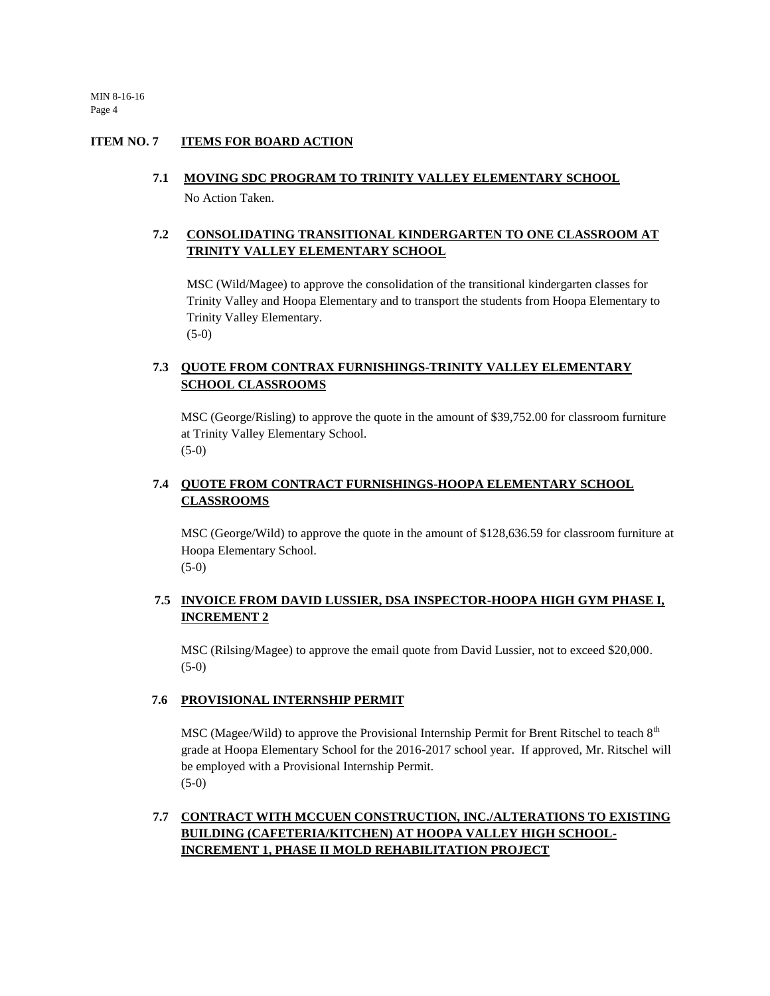MIN 8-16-16 Page 4

#### **ITEM NO. 7 ITEMS FOR BOARD ACTION**

#### **7.1 MOVING SDC PROGRAM TO TRINITY VALLEY ELEMENTARY SCHOOL**

No Action Taken.

# **7.2 CONSOLIDATING TRANSITIONAL KINDERGARTEN TO ONE CLASSROOM AT TRINITY VALLEY ELEMENTARY SCHOOL**

MSC (Wild/Magee) to approve the consolidation of the transitional kindergarten classes for Trinity Valley and Hoopa Elementary and to transport the students from Hoopa Elementary to Trinity Valley Elementary. (5-0)

# **7.3 QUOTE FROM CONTRAX FURNISHINGS-TRINITY VALLEY ELEMENTARY SCHOOL CLASSROOMS**

MSC (George/Risling) to approve the quote in the amount of \$39,752.00 for classroom furniture at Trinity Valley Elementary School. (5-0)

### **7.4 QUOTE FROM CONTRACT FURNISHINGS-HOOPA ELEMENTARY SCHOOL CLASSROOMS**

MSC (George/Wild) to approve the quote in the amount of \$128,636.59 for classroom furniture at Hoopa Elementary School. (5-0)

### **7.5 INVOICE FROM DAVID LUSSIER, DSA INSPECTOR-HOOPA HIGH GYM PHASE I, INCREMENT 2**

MSC (Rilsing/Magee) to approve the email quote from David Lussier, not to exceed \$20,000. (5-0)

### **7.6 PROVISIONAL INTERNSHIP PERMIT**

MSC (Magee/Wild) to approve the Provisional Internship Permit for Brent Ritschel to teach 8<sup>th</sup> grade at Hoopa Elementary School for the 2016-2017 school year. If approved, Mr. Ritschel will be employed with a Provisional Internship Permit. (5-0)

# **7.7 CONTRACT WITH MCCUEN CONSTRUCTION, INC./ALTERATIONS TO EXISTING BUILDING (CAFETERIA/KITCHEN) AT HOOPA VALLEY HIGH SCHOOL-INCREMENT 1, PHASE II MOLD REHABILITATION PROJECT**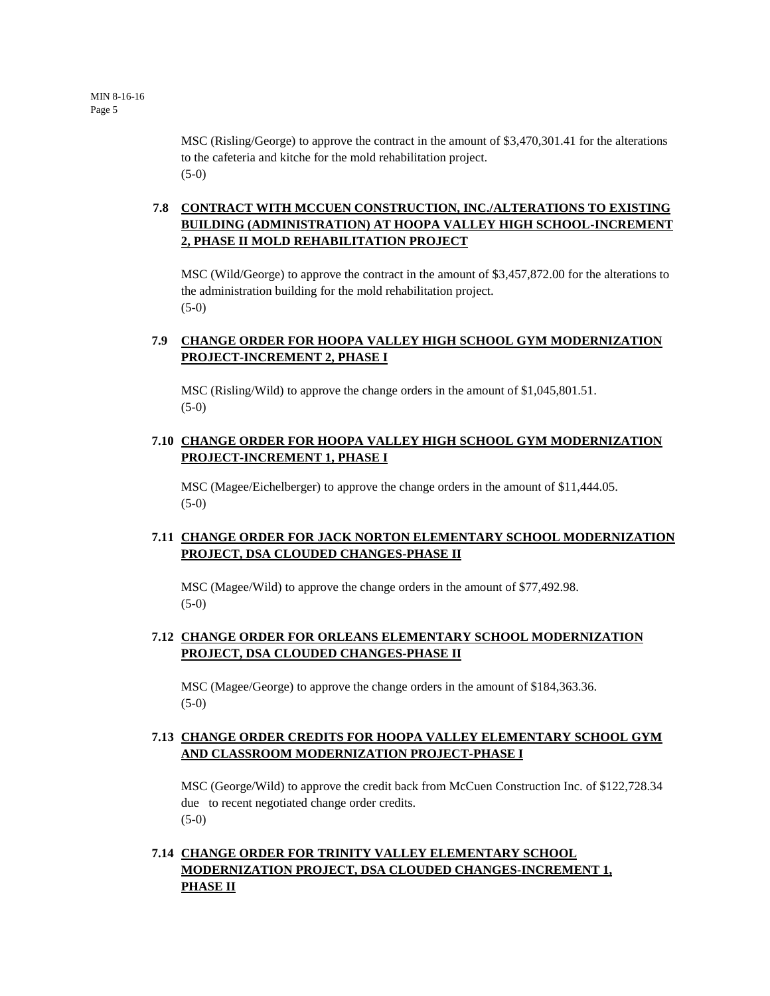MSC (Risling/George) to approve the contract in the amount of \$3,470,301.41 for the alterations to the cafeteria and kitche for the mold rehabilitation project. (5-0)

# **7.8 CONTRACT WITH MCCUEN CONSTRUCTION, INC./ALTERATIONS TO EXISTING BUILDING (ADMINISTRATION) AT HOOPA VALLEY HIGH SCHOOL-INCREMENT 2, PHASE II MOLD REHABILITATION PROJECT**

MSC (Wild/George) to approve the contract in the amount of \$3,457,872.00 for the alterations to the administration building for the mold rehabilitation project. (5-0)

### **7.9 CHANGE ORDER FOR HOOPA VALLEY HIGH SCHOOL GYM MODERNIZATION PROJECT-INCREMENT 2, PHASE I**

MSC (Risling/Wild) to approve the change orders in the amount of \$1,045,801.51. (5-0)

### **7.10 CHANGE ORDER FOR HOOPA VALLEY HIGH SCHOOL GYM MODERNIZATION PROJECT-INCREMENT 1, PHASE I**

MSC (Magee/Eichelberger) to approve the change orders in the amount of \$11,444.05. (5-0)

# **7.11 CHANGE ORDER FOR JACK NORTON ELEMENTARY SCHOOL MODERNIZATION PROJECT, DSA CLOUDED CHANGES-PHASE II**

MSC (Magee/Wild) to approve the change orders in the amount of \$77,492.98.  $(5-0)$ 

# **7.12 CHANGE ORDER FOR ORLEANS ELEMENTARY SCHOOL MODERNIZATION PROJECT, DSA CLOUDED CHANGES-PHASE II**

MSC (Magee/George) to approve the change orders in the amount of \$184,363.36. (5-0)

### **7.13 CHANGE ORDER CREDITS FOR HOOPA VALLEY ELEMENTARY SCHOOL GYM AND CLASSROOM MODERNIZATION PROJECT-PHASE I**

MSC (George/Wild) to approve the credit back from McCuen Construction Inc. of \$122,728.34 due to recent negotiated change order credits. (5-0)

### **7.14 CHANGE ORDER FOR TRINITY VALLEY ELEMENTARY SCHOOL MODERNIZATION PROJECT, DSA CLOUDED CHANGES-INCREMENT 1, PHASE II**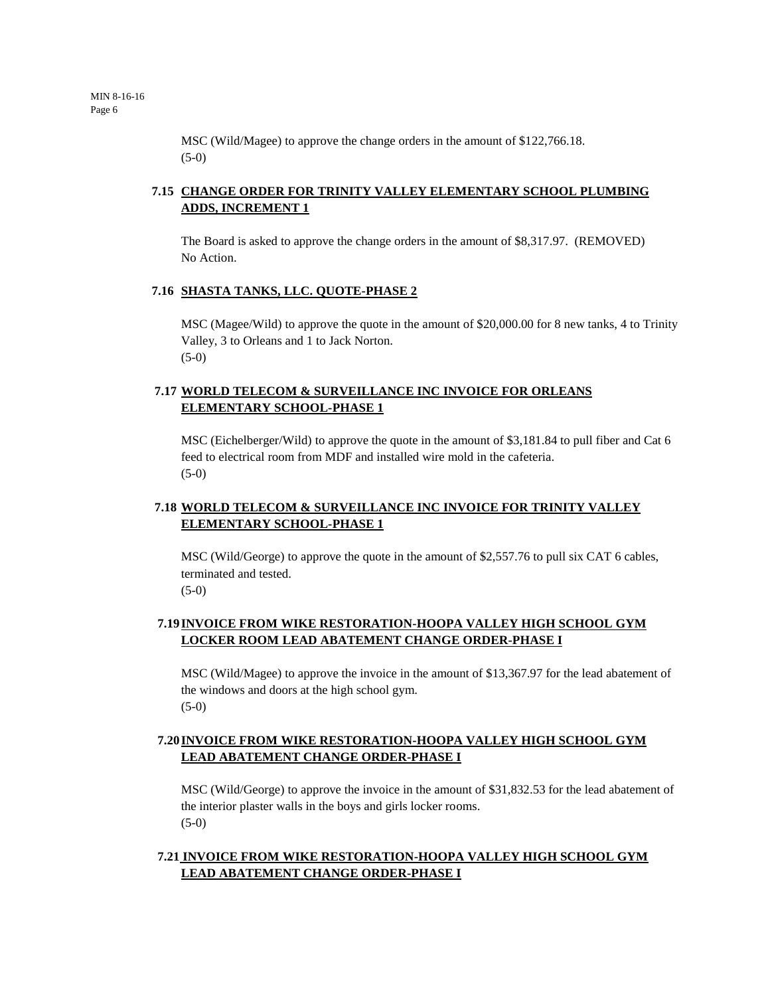MSC (Wild/Magee) to approve the change orders in the amount of \$122,766.18. (5-0)

# **7.15 CHANGE ORDER FOR TRINITY VALLEY ELEMENTARY SCHOOL PLUMBING ADDS, INCREMENT 1**

The Board is asked to approve the change orders in the amount of \$8,317.97. (REMOVED) No Action.

#### **7.16 SHASTA TANKS, LLC. QUOTE-PHASE 2**

MSC (Magee/Wild) to approve the quote in the amount of \$20,000.00 for 8 new tanks, 4 to Trinity Valley, 3 to Orleans and 1 to Jack Norton. (5-0)

### **7.17 WORLD TELECOM & SURVEILLANCE INC INVOICE FOR ORLEANS ELEMENTARY SCHOOL-PHASE 1**

MSC (Eichelberger/Wild) to approve the quote in the amount of \$3,181.84 to pull fiber and Cat 6 feed to electrical room from MDF and installed wire mold in the cafeteria. (5-0)

# **7.18 WORLD TELECOM & SURVEILLANCE INC INVOICE FOR TRINITY VALLEY ELEMENTARY SCHOOL-PHASE 1**

MSC (Wild/George) to approve the quote in the amount of \$2,557.76 to pull six CAT 6 cables, terminated and tested.  $(5-0)$ 

### **7.19INVOICE FROM WIKE RESTORATION-HOOPA VALLEY HIGH SCHOOL GYM LOCKER ROOM LEAD ABATEMENT CHANGE ORDER-PHASE I**

MSC (Wild/Magee) to approve the invoice in the amount of \$13,367.97 for the lead abatement of the windows and doors at the high school gym. (5-0)

# **7.20INVOICE FROM WIKE RESTORATION-HOOPA VALLEY HIGH SCHOOL GYM LEAD ABATEMENT CHANGE ORDER-PHASE I**

MSC (Wild/George) to approve the invoice in the amount of \$31,832.53 for the lead abatement of the interior plaster walls in the boys and girls locker rooms. (5-0)

### **7.21 INVOICE FROM WIKE RESTORATION-HOOPA VALLEY HIGH SCHOOL GYM LEAD ABATEMENT CHANGE ORDER-PHASE I**